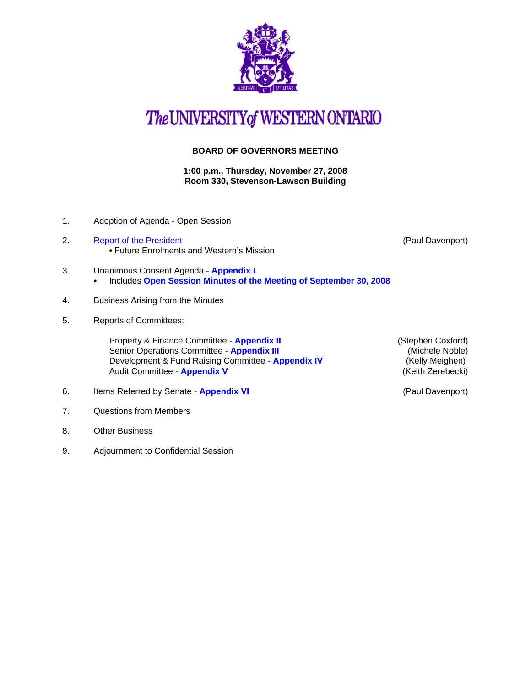

## The UNIVERSITY of WESTERN ONTARIO

## **BOARD OF GOVERNORS MEETING**

**1:00 p.m., Thursday, November 27, 2008 Room 330, Stevenson-Lawson Building**

- 1. Adoption of Agenda Open Session
- 2. [Report of the President](http://www.uwo.ca/univsec/board/minutes/2008/r0811pd.pdf) **Contract Contract Contract Contract Contract Contract Contract Contract Contract Contract Contract Contract Contract Contract Contract Contract Contract Contract Contract Contract Contract Contr** • Future Enrolments and Western's Mission

- 3. Unanimous Consent Agenda **[Appendix I](http://www.uwo.ca/univsec/board/minutes/2008/r0811consent.pdf)  •** Includes [Open Session Minutes of the Meeting of September 30, 2008](http://www.uwo.ca/univsec/board/minutes/2008/m0809bg.pdf)
- 4. Business Arising from the Minutes
- 5. Reports of Committees:

Property & Finance Committee - **[Appendix II](http://www.uwo.ca/univsec/board/minutes/2008/r0811pf.pdf)** (Stephen Coxford) Senior Operations Committee - **[Appendix III](http://www.uwo.ca/univsec/board/minutes/2008/r0811srops.pdf) Access 19 (Michele Noble)** (Michele Noble) Development & Fund Raising Committee - **[Appendix IV](http://www.uwo.ca/univsec/board/minutes/2008/r0811dfr.pdf)** (Kelly Meighen) Audit Committee - **[Appendix V](http://www.uwo.ca/univsec/board/minutes/2008/r0811aud.pdf)** (Keith Zerebecki)

- 6. Items Referred by Senate **[Appendix VI](http://www.uwo.ca/univsec/board/minutes/2008/r0811sen.pdf)** (Paul Davenport)
- 7. Questions from Members
- 8. Other Business
- 9. Adjournment to Confidential Session